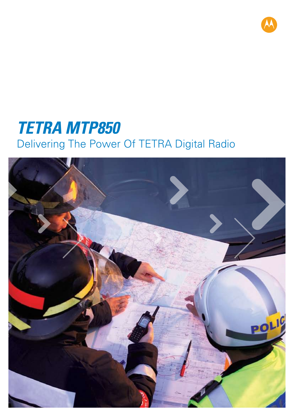

# *TETRA MTP850* Delivering The Power Of TETRA Digital Radio

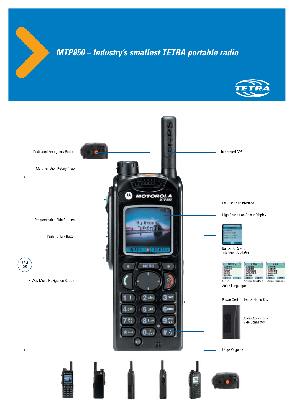## *MTP850 – Industry's smallest TETRA portable radio*



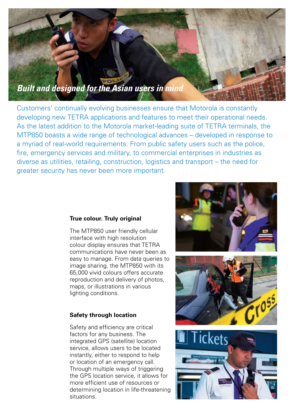

Customers' continually evolving businesses ensure that Motorola is constantly developing new TETRA applications and features to meet their operational needs. As the latest addition to the Motorola market-leading suite of TETRA terminals, the MTP850 boasts a wide range of technological advances – developed in response to a myriad of real-world requirements. From public safety users such as the police, fire, emergency services and military, to commercial enterprises in industries as diverse as utilities, retailing, construction, logistics and transport – the need for greater security has never been more important.

#### **True colour. Truly original**

The MTP850 user friendly cellular interface with high resolution colour display ensures that TETRA communications have never been as easy to manage. From data queries to image sharing, the MTP850 with its 65,000 vivid colours offers accurate reproduction and delivery of photos, maps, or illustrations in various lighting conditions.

#### **Safety through location**

Safety and efficiency are critical factors for any business. The integrated GPS (satellite) location service, allows users to be located instantly, either to respond to help or location of an emergency call. Through multiple ways of triggering the GPS location service, it allows for more efficient use of resources or determining location in life-threatening situations.



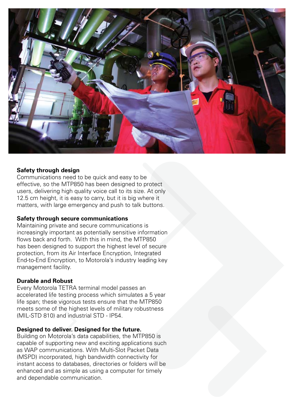

#### **Safety through design**

Communications need to be quick and easy to be effective, so the MTP850 has been designed to protect users, delivering high quality voice call to its size. At only 12.5 cm height, it is easy to carry, but it is big where it matters, with large emergency and push to talk buttons.

#### **Safety through secure communications**

Maintaining private and secure communications is increasingly important as potentially sensitive information flows back and forth. With this in mind, the MTP850 has been designed to support the highest level of secure protection, from its Air Interface Encryption, Integrated End-to-End Encryption, to Motorola's industry leading key management facility.

#### **Durable and Robust**

Every Motorola TETRA terminal model passes an accelerated life testing process which simulates a 5 year life span; these vigorous tests ensure that the MTP850 meets some of the highest levels of military robustness (MIL-STD 810) and industrial STD - IP54.

#### **Designed to deliver. Designed for the future.**

Building on Motorola's data capabilities, the MTP850 is capable of supporting new and exciting applications such as WAP communications. With Multi-Slot Packet Data (MSPD) incorporated, high bandwidth connectivity for instant access to databases, directories or folders will be enhanced and as simple as using a computer for timely and dependable communication.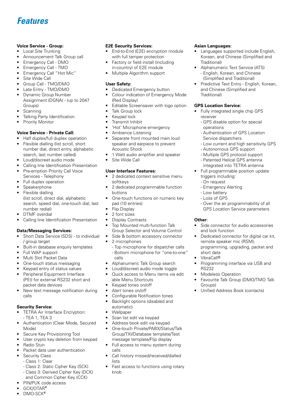### *Features*

#### **Voice Service - Group:**

- • Local Site Trunking
- Announcement Talk Group call
- Emergency Call DMO
- Emergency Call TMO
- Emergency Call "Hot Mic"
- Site Wide Call
- Group Call TMO/DMO
- Late Entry TMO/DMO
- **Dynamic Group Number**  Assignment (DGNA) - (up to 2047 Groups)
- **Scanning**
- Talking Party Identification
- **Priority Monitor**

#### **Voice Service - Private Call:**

- Half duplex/full duplex operation
- Flexible dialling (list scroll, short number dial, direct entry, alphabetic search, last number called)
- Loud/discreet audio mode
- • Calling line Identification Presentation
- Pre-emption Priority Call Voice
- Services Telephony
- • Full duplex operation
- **Speakerphone**
- Flexible dialling (list scroll, direct dial, alphabetic number redial)
- 
- Calling line Identification Presentation

#### **Data/Messaging Services:**

- Short Data Service (SDS) to individual / group target
- Built-in database enquiry templates
- Full WAP support
- Multi Slot Packet Data
- One-touch status messaging
- Keypad entry of status values
- Peripheral Equipment Interface (PEI) for external RS232 short and packet data devices
- New text message notification during calls

#### **Security Service:**

- TETRA Air Interface Encryption: - TEA 1, TEA 3
- Authentication (Clear Mode, Secured Mode)
- Secure Key Provisioning Tool
- User crypto key deletion from keypad
- **Radio Stun**
- Packet data user authentication
- Security Class
	- Class 1: Clear
	- Class 2: Static Cipher Key (SCK) - Class 3: Derived Cipher Key (DCK)
- and Common Cipher Key (CCK) PIN/PUK code access
- 
- GCK/OTAR<sup>#</sup>

- 
- 
- search, speed dial, one-touch dial, last
- DTMF overdial
- 

#### Top Mounted multi-function Talk Group Selector and Volume Control

- Side & bottom accessory connector
- 2 microphones

 pad (10 entries) **Flip Display** 2 font sizes Display Contrasts

**E2E Security Services:**

**User Safety:**

 (Red Display)

Talk Group lock Keypad lock Transmit Inhibit

 Acoustic Shock

Site Wide Call

 softkeys

 buttons

**User Interface Features:**

End-to-End (E2E) encryption module

 with full tamper protection Factory or field install (including in-country) of E2E module Multiple Algorithm support

Dedicated Emergency button

• 'Hot' Microphone emergency Ambience Listening

Colour indication of Emergency Mode

Editable Screensaver with logo option

Separate front mounted main loud speaker and earpiece to prevent

1 Watt audio amplifier and speaker

2 dedicated context sensitive menu

2 dedicated programmable function

One-touch functions on numeric key

- Top microphone for dispatcher calls - Bottom microphone for "one-to-one" calls
- Alphanumeric Talk Group search
- Loud/discreet audio mode toggle
- Quick access to Menu items via edit able Menu Shortcuts
- Keypad tones on/off
- Alert tones on/off
- Configurable Notification tones
- Backlight options (disabled and automatic)
- **Wallpaper**
- Scan list edit via keypad
- Address book edit via keypad
- One-touch Private/PABX/Status/Talk Group/TXI/Database template/Test message template/Flip display
- Full access to menu system during calls
- Call history missed/received/dialled lists
- Fast access to functions using rotary knob

#### **Asian Languages:**

- Languages supported include English, Korean, and Chinese (Simplified and Traditional)
- Alphanumeric Text Service (ATS) - English, Korean, and Chinese (Simplified and Traditional)
- Predictive Text Entry English, Korean, and Chinese (Simplified and Traditional)

#### **GPS Location Service:**

- Fully integrated single chip GPS receiver
	- GPS disable option for special operations
	- Authentication of GPS Location Service dispatchers
	- Low current and high sensitivity GPS
	- Autonomous GPS support
	- Multiple GPS protocol support
	- Patented Helical GPS antenna
- integrated into TETRA antenna Full programmable position update
- triggers including:
- On request
- Emergency Alerting
- Low battery
- Loss of GPS
- Over the air programmability of all GPS Location Service parameters

#### **Other:**

- Side connector for audio accessories and lock function
- Dedicated connector for digital car kit, remote speaker mic (RSM), programming, upgrading, packet and short data
- VibraCall<sup>®</sup>
- Programming interface via USB and RS232
- **Modeless Operation**
- Favourite Talk Group (DMO/TMO Talk Groups)
- Unified Address Book (contacts)

 $DMO-SCK$ <sup>#</sup>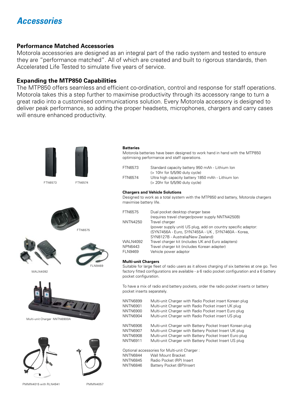### *Accessories*

#### **Performance Matched Accessories**

Motorola accessories are designed as an integral part of the radio system and tested to ensure they are "performance matched". All of which are created and built to rigorous standards, then Accelerated Life Tested to simulate five years of service.

#### **Expanding the MTP850 Capabilities**

The MTP850 offers seamless and efficient co-ordination, control and response for staff operations. Motorola takes this a step further to maximise productivity through its accessory range to turn a great radio into a customised communications solution. Every Motorola accessory is designed to deliver peak performance, so adding the proper headsets, microphones, chargers and carry cases will ensure enhanced productivity.



PMMN4015 with RLN4941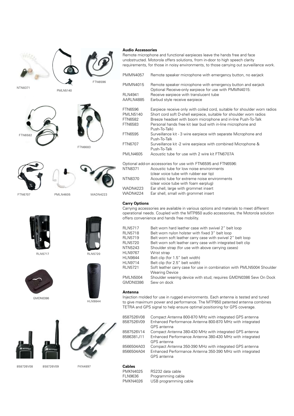

PMLN5140









FTN6707 PMLN4605

FTN6582





WADN4223



HLN9844



858726V08 858726V09 FKN4897



Remote microphone and functional earpieces leave the hands free and face unobstructed. Motorola offers solutions, from in-door to high speech clarity requirements, for those in noisy environments, to those carrying out surveillance work.

| <b>PMMN4057</b>             | Remote speaker microphone with emergency button, no earjack                                                          |
|-----------------------------|----------------------------------------------------------------------------------------------------------------------|
| <b>PMMN4015</b>             | Remote speaker microphone with emergency button and earjack<br>Optional Receive-only earpiece for use with PMMN4015: |
| <b>RLN4941</b><br>AARLN4885 | Receive earpiece with translucent tube<br>Earbud style receive earpiece                                              |
| <b>FTN6596</b>              | Earpiece receive only with coiled cord, suitable for shoulder worn radios                                            |
| <b>PMLN5140</b>             | Short cord soft D-shell earpiece, suitable for shoulder worn radios                                                  |
| <b>FTN6582</b>              | Breeze headset with boom microphone and in-line Push-To-Talk                                                         |
| <b>FTN6583</b>              | Personal hands free kit (ear bud with in-line microphone and<br>Push-To-Talk)                                        |
| <b>FTN6595</b>              | Surveillance kit - 3 wire earpiece with separate Microphone and<br>Push-To-Talk                                      |
| <b>FTN6707</b>              | Surveillance kit -2 wire earpiece with combined Microphone &<br>Push-To-Talk                                         |
| <b>PMLN4605</b>             | Acoustic tube for use with 2 wire kit FTN6707A                                                                       |
|                             | Optional add-on accessories for use with FTN6595 and FTN6596:                                                        |
| <b>NTN8371</b>              | Acoustic tube for low noise environments                                                                             |
|                             | (clear voice tube with rubber ear tip)                                                                               |
| NTN8370                     | Acoustic tube for extreme noise environments                                                                         |
|                             | (clear voice tube with foam earplug)                                                                                 |
| $1010$ DNIA 222             | Ear aboll large with grommet incort                                                                                  |

WADN4223 Ear shell, large with grommet insert<br>WADN4224 Ear shell, small with grommet insert Ear shell, small with grommet insert

#### **Carry Options**

Carrying accessories are available in various options and materials to meet different operational needs. Coupled with the MTP850 audio accessories, the Motorola solution offers convenience and hands free mobility.

| <b>RLN5717</b><br><b>RLN5718</b> | Belt worn hard leather case with swivel 2" belt loop<br>Belt worn nylon holster with fixed 3" belt loop |
|----------------------------------|---------------------------------------------------------------------------------------------------------|
| <b>RLN5719</b>                   | Belt worn soft leather carry case with swivel 2" belt loop                                              |
| <b>RLN5720</b>                   | Belt worn soft leather carry case with integrated belt clip                                             |
| NTN5243                          | Shoulder strap (for use with above carrying cases)                                                      |
| <b>HLN9767</b>                   | Wrist strap                                                                                             |
| <b>HLN9844</b>                   | Belt clip (for 1.5" belt width)                                                                         |
| <b>HLN9714</b>                   | Belt clip (for 2.5" belt width)                                                                         |
| <b>RLN5721</b>                   | Soft leather carry case for use in combination with PMLN5004 Shoulder<br><b>Wearing Device</b>          |
| <b>PMLN5004</b><br>GMDN0386      | Shoulder wearing device with stud; requires GMDN0386 Sew On Dock<br>Sew on dock                         |

#### **Antenna**

Injection molded for use in rugged environments. Each antenna is tested and tuned to give maximum power and performance. The MTP850 patented antenna combines TETRA and GPS signal to help ensure optimal positioning for GPS coverage.

| 8587526V08<br>8587526V09   | Compact Antenna 800-870 MHz with integrated GPS antenna<br>Enhanced Performance Antenna 800-870 MHz with integrated<br>GPS antenna |
|----------------------------|------------------------------------------------------------------------------------------------------------------------------------|
| 8587526V14<br>8586381, J11 | Compact Antenna 380-430 MHz with integrated GPS antenna<br>Enhanced Performance Antenna 380-430 MHz with integrated<br>GPS antenna |
| 8566504A03<br>8566504A04   | Compact Antenna 350-390 MHz with integrated GPS antenna<br>Enhanced Performance Antenna 350-390 MHz with integrated<br>GPS antenna |

**Cables** PMKN4025 RS232 data cable<br>FLN9636 Programming cab Programming cable PMKN4026 USB programming cable